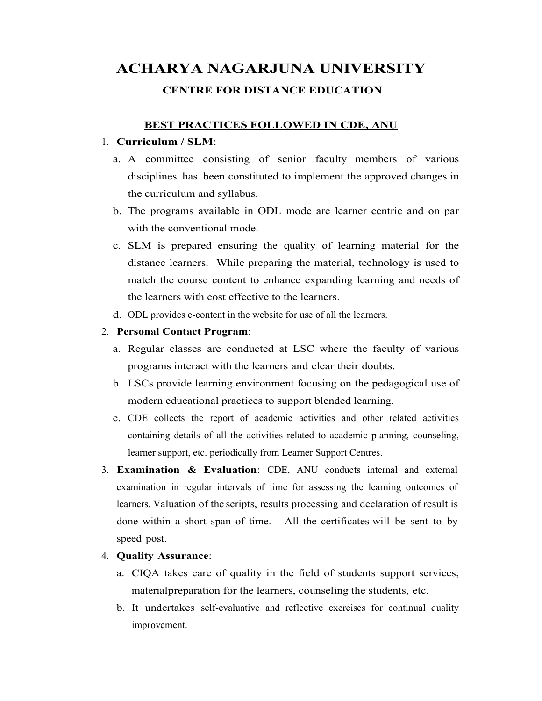# ACHARYA NAGARJUNA UNIVERSITY CENTRE FOR DISTANCE EDUCATION

## BEST PRACTICES FOLLOWED IN CDE, ANU

#### 1. Curriculum / SLM:

- a. A committee consisting of senior faculty members of various disciplines has been constituted to implement the approved changes in the curriculum and syllabus.
- b. The programs available in ODL mode are learner centric and on par with the conventional mode.
- c. SLM is prepared ensuring the quality of learning material for the distance learners. While preparing the material, technology is used to match the course content to enhance expanding learning and needs of the learners with cost effective to the learners.
- d. ODL provides e-content in the website for use of all the learners.

### 2. Personal Contact Program:

- a. Regular classes are conducted at LSC where the faculty of various programs interact with the learners and clear their doubts.
- b. LSCs provide learning environment focusing on the pedagogical use of modern educational practices to support blended learning.
- c. CDE collects the report of academic activities and other related activities containing details of all the activities related to academic planning, counseling, learner support, etc. periodically from Learner Support Centres.
- 3. Examination & Evaluation: CDE, ANU conducts internal and external examination in regular intervals of time for assessing the learning outcomes of learners. Valuation of the scripts, results processing and declaration of result is done within a short span of time. All the certificates will be sent to by speed post.

#### 4. Quality Assurance:

- a. CIQA takes care of quality in the field of students support services, material preparation for the learners, counseling the students, etc.
- b. It undertakes self-evaluative and reflective exercises for continual quality improvement.